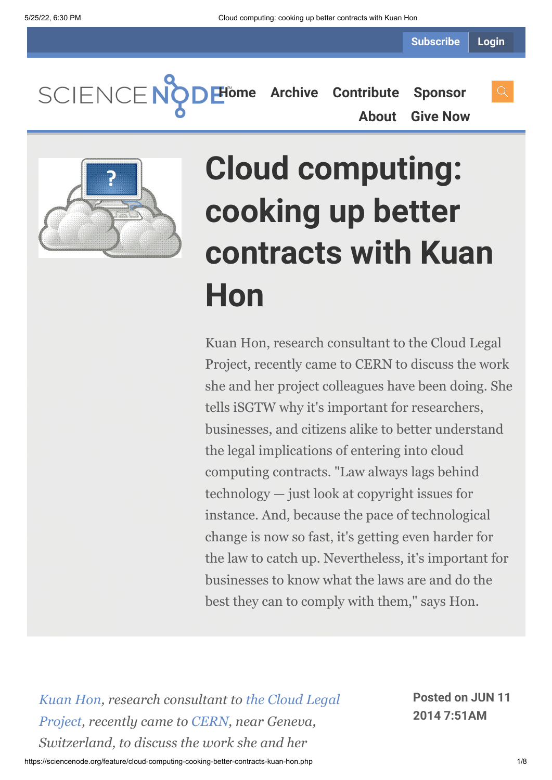SCIENCENC **[Home](https://sciencenode.org/) [Archive](https://sciencenode.org/archive/index.php) [Contribute](https://sciencenode.org/contribute/index.php) [Sponsor](https://sciencenode.org/sponsor/index.php)**

**[About](https://sciencenode.org/about/index.php) [Give Now](https://sciencenode.org/donate/index.php)**



# **Cloud computing: cooking up better contracts with Kuan Hon**

Kuan Hon, research consultant to the Cloud Legal Project, recently came to CERN to discuss the work she and her project colleagues have been doing. She tells iSGTW why it's important for researchers, businesses, and citizens alike to better understand the legal implications of entering into cloud computing contracts. "Law always lags behind technology — just look at copyright issues for instance. And, because the pace of technological change is now so fast, it's getting even harder for the law to catch up. Nevertheless, it's important for businesses to know what the laws are and do the best they can to comply with them," says Hon.

*[Kuan Hon, research consultant to the Cloud Legal](https://mmm.cern.ch/owa/redir.aspx?C=6EYZAT-sq0K1V7_bPqoNU9ZofDhcU9EI3lR3WrNWx7G_kZhVYLPdGyK5L6-pjQJVMlZWUc8LoZ8.&URL=http%3a%2f%2fwww.cloudlegal.ccls.qmul.ac.uk%2f) Project, recently came to [CERN](https://mmm.cern.ch/owa/redir.aspx?C=6EYZAT-sq0K1V7_bPqoNU9ZofDhcU9EI3lR3WrNWx7G_kZhVYLPdGyK5L6-pjQJVMlZWUc8LoZ8.&URL=http%3a%2f%2fwww.cern.ch%2f), near Geneva, Switzerland, to discuss the work she and her*

**Posted on JUN 11 2014 7:51AM**

https://sciencenode.org/feature/cloud-computing-cooking-better-contracts-kuan-hon.php 1/8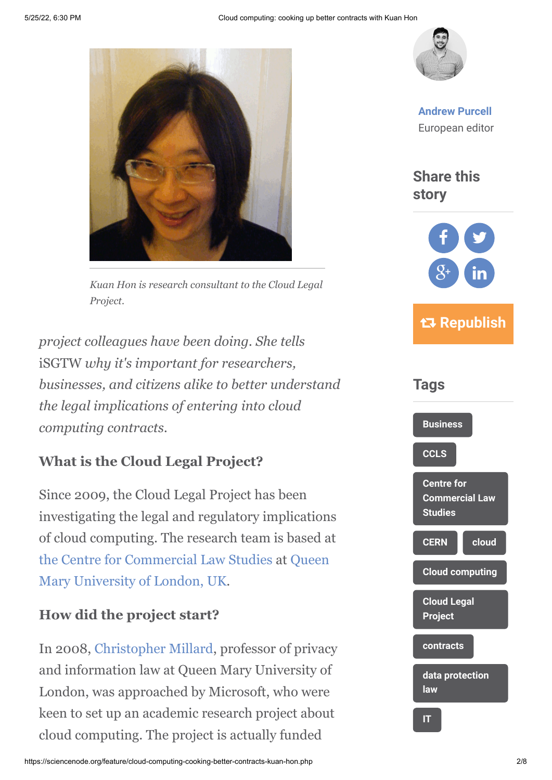

*Kuan Hon is research consultant to the Cloud Legal Project.*

*project colleagues have been doing. She tells* iSGTW *why it's important for researchers, businesses, and citizens alike to better understand the legal implications of entering into cloud computing contracts.*

#### **What is the Cloud Legal Project?**

Since 2009, the Cloud Legal Project has been investigating the legal and regulatory implications of cloud computing. The research team is based at [the Centre for Commercial Law Studies at Queen](http://www.qmul.ac.uk/) Mary University of London, UK.

#### **How did the project start?**

In 2008, [Christopher Millard](http://www.law.qmul.ac.uk/staff/millard.html), professor of privacy and information law at Queen Mary University of London, was approached by Microsoft, who were keen to set up an academic research project about cloud computing. The project is actually funded



**[Andrew Purcell](https://sciencenode.org/author/andrew-purcell.php)** European editor

**Share this story**



 **Republish**

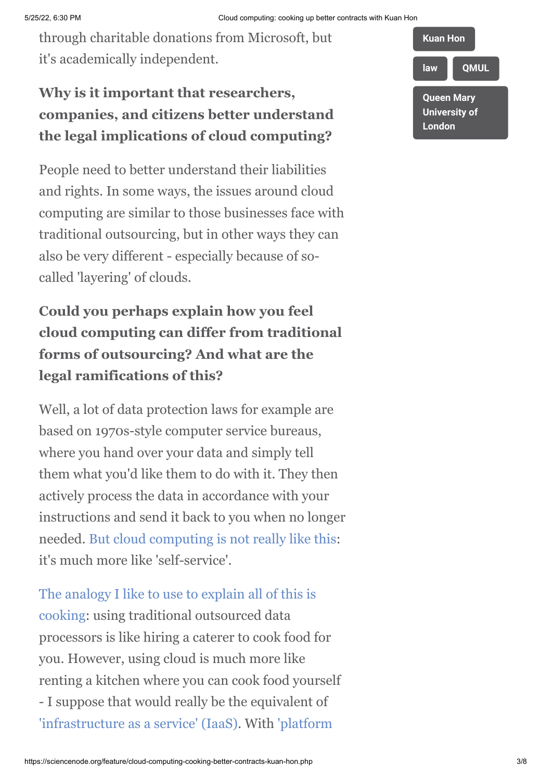through charitable donations from Microsoft, but it's academically independent.

#### **Why is it important that researchers, companies, and citizens better understand the legal implications of cloud computing?**

People need to better understand their liabilities and rights. In some ways, the issues around cloud computing are similar to those businesses face with traditional outsourcing, but in other ways they can also be very different - especially because of socalled 'layering' of clouds.

### **Could you perhaps explain how you feel cloud computing can differ from traditional forms of outsourcing? And what are the legal ramifications of this?**

Well, a lot of data protection laws for example are based on 1970s-style computer service bureaus, where you hand over your data and simply tell them what you'd like them to do with it. They then actively process the data in accordance with your instructions and send it back to you when no longer needed. [But cloud computing is not really like this:](http://blog.kuan0.com/2014/02/9-ds-of-cloud-computing-what-different.html) it's much more like 'self-service'.

[The analogy I like to use to explain all of this is](http://www.scl.org/site.aspx?i=ed26082) cooking: using traditional outsourced data processors is like hiring a caterer to cook food for you. However, using cloud is much more like renting a kitchen where you can cook food yourself - I suppose that would really be the equivalent of ['infrastructure as a service' \(IaaS\)](http://en.wikipedia.org/wiki/Infrastructure_as_a_service#Infrastructure_as_a_service_.28IaaS.29)[. With 'platform](http://en.wikipedia.org/wiki/Platform_as_a_service)

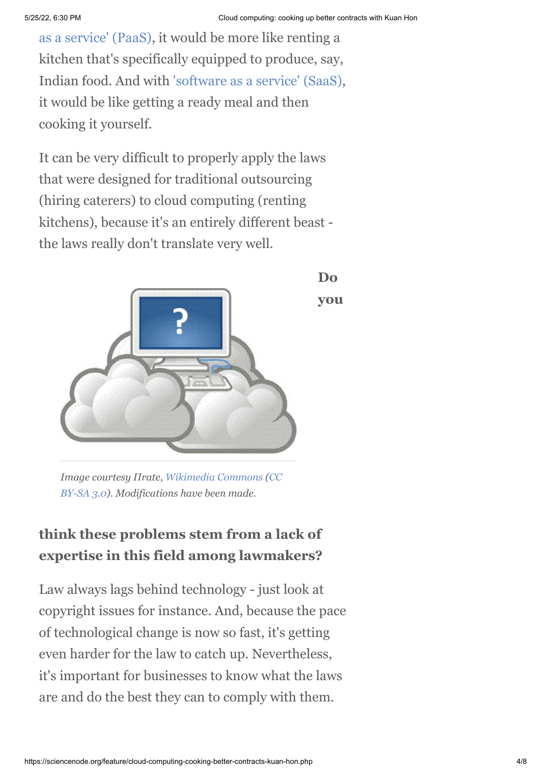**Do**

**you**

[as a service' \(PaaS\), it would be more like renting](http://en.wikipedia.org/wiki/Platform_as_a_service) a kitchen that's specifically equipped to produce, say, Indian food. And with ['software as a service' \(SaaS\)](http://en.wikipedia.org/wiki/Software_as_a_service), it would be like getting a ready meal and then cooking it yourself.

It can be very difficult to properly apply the laws that were designed for traditional outsourcing (hiring caterers) to cloud computing (renting kitchens), because it's an entirely different beast the laws really don't translate very well.



*[Image courtesy Πrate, Wikimedia Commons \(CC](http://creativecommons.org/licenses/by-sa/3.0/deed.en) BY-SA 3.0). Modifications have been made.*

#### **think these problems stem from a lack of expertise in this field among lawmakers?**

Law always lags behind technology - just look at copyright issues for instance. And, because the pace of technological change is now so fast, it's getting even harder for the law to catch up. Nevertheless, it's important for businesses to know what the laws are and do the best they can to comply with them.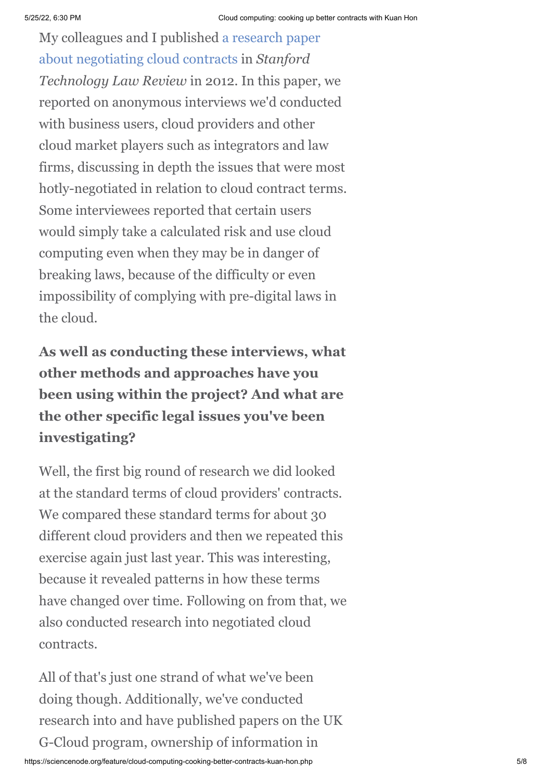[My colleagues and I published a research paper](http://journals.law.stanford.edu/stanford-technology-law-review/online/negotiating-cloud-contracts-looking-clouds-both-sides-now) about negotiating cloud contracts in *Stanford Technology Law Review* in 2012. In this paper, we reported on anonymous interviews we'd conducted with business users, cloud providers and other cloud market players such as integrators and law firms, discussing in depth the issues that were most hotly-negotiated in relation to cloud contract terms. Some interviewees reported that certain users would simply take a calculated risk and use cloud computing even when they may be in danger of breaking laws, because of the difficulty or even impossibility of complying with pre-digital laws in the cloud.

**As well as conducting these interviews, what other methods and approaches have you been using within the project? And what are the other specific legal issues you've been investigating?**

Well, the first big round of research we did looked at the standard terms of cloud providers' contracts. We compared these standard terms for about 30 different cloud providers and then we repeated this exercise again just last year. This was interesting, because it revealed patterns in how these terms have changed over time. Following on from that, we also conducted research into negotiated cloud contracts.

All of that's just one strand of what we've been doing though. Additionally, we've conducted research into and have published papers on the UK G-Cloud program, ownership of information in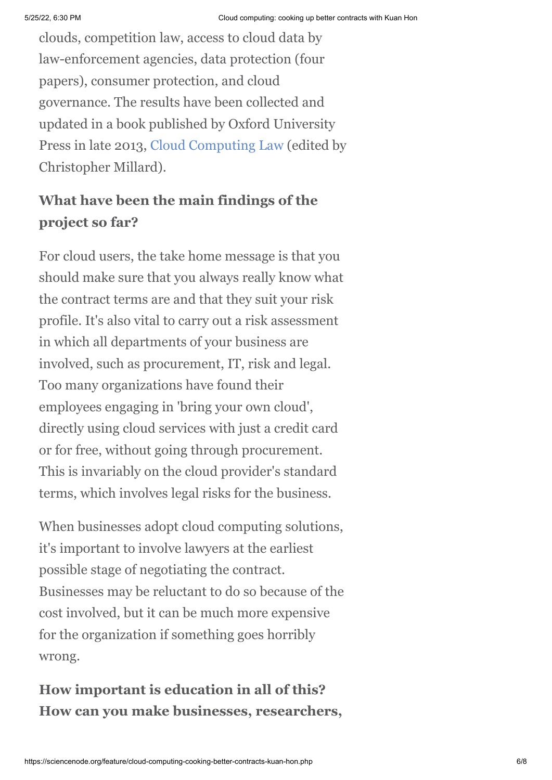clouds, competition law, access to cloud data by law-enforcement agencies, data protection (four papers), consumer protection, and cloud governance. The results have been collected and updated in a book published by Oxford University Press in late 2013, [Cloud Computing Law](http://www.amazon.co.uk/Cloud-Computing-Law-Christopher-Millard/dp/0199671680) (edited by Christopher Millard).

## **What have been the main findings of the project so far?**

For cloud users, the take home message is that you should make sure that you always really know what the contract terms are and that they suit your risk profile. It's also vital to carry out a risk assessment in which all departments of your business are involved, such as procurement, IT, risk and legal. Too many organizations have found their employees engaging in 'bring your own cloud', directly using cloud services with just a credit card or for free, without going through procurement. This is invariably on the cloud provider's standard terms, which involves legal risks for the business.

When businesses adopt cloud computing solutions, it's important to involve lawyers at the earliest possible stage of negotiating the contract. Businesses may be reluctant to do so because of the cost involved, but it can be much more expensive for the organization if something goes horribly wrong.

## **How important is education in all of this? How can you make businesses, researchers,**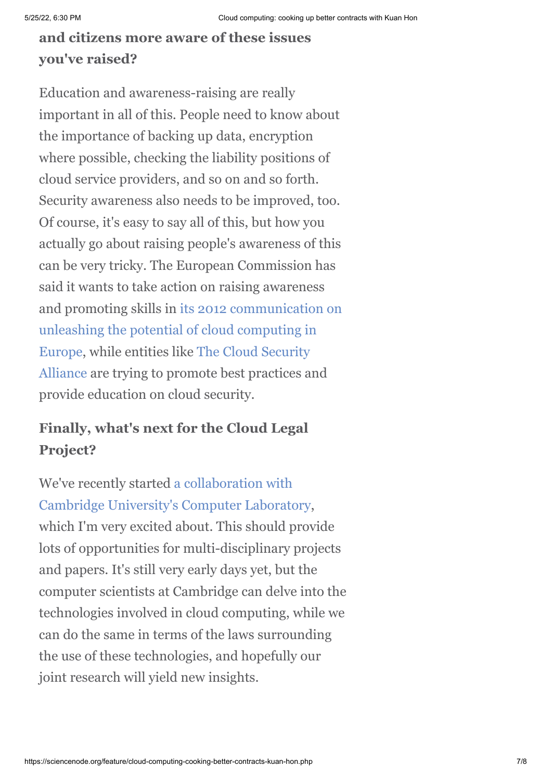#### **and citizens more aware of these issues you've raised?**

Education and awareness-raising are really important in all of this. People need to know about the importance of backing up data, encryption where possible, checking the liability positions of cloud service providers, and so on and so forth. Security awareness also needs to be improved, too. Of course, it's easy to say all of this, but how you actually go about raising people's awareness of this can be very tricky. The European Commission has said it wants to take action on raising awareness [and promoting skills in its 2012 communication on](http://eur-lex.europa.eu/LexUriServ/LexUriServ.do?uri=COM:2012:0529:FIN:EN:PDF) unleashing the potential of cloud computing in [Europe, while entities like The Cloud Security](https://cloudsecurityalliance.org/) Alliance are trying to promote best practices and provide education on cloud security.

#### **Finally, what's next for the Cloud Legal Project?**

We've recently started a collaboration with [Cambridge University's Computer Laboratory](http://www.csap.cam.ac.uk/news/article-csap-collaborates-new-cloud-computing-centre/), which I'm very excited about. This should provide lots of opportunities for multi-disciplinary projects and papers. It's still very early days yet, but the computer scientists at Cambridge can delve into the technologies involved in cloud computing, while we can do the same in terms of the laws surrounding the use of these technologies, and hopefully our joint research will yield new insights.